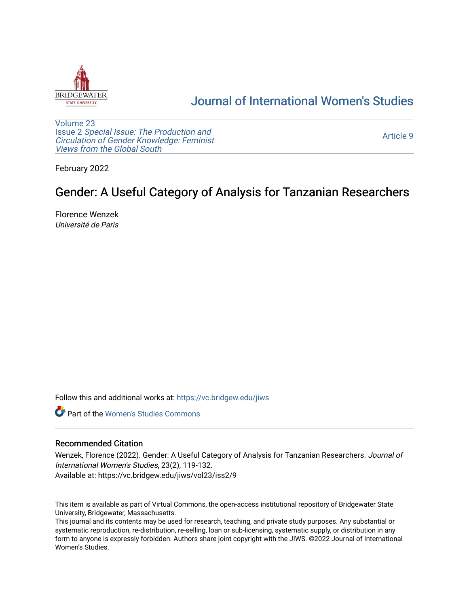

## [Journal of International Women's Studies](https://vc.bridgew.edu/jiws)

[Volume 23](https://vc.bridgew.edu/jiws/vol23) Issue 2 [Special Issue: The Production and](https://vc.bridgew.edu/jiws/vol23/iss2) [Circulation of Gender Knowledge: Feminist](https://vc.bridgew.edu/jiws/vol23/iss2)  [Views from the Global South](https://vc.bridgew.edu/jiws/vol23/iss2) 

[Article 9](https://vc.bridgew.edu/jiws/vol23/iss2/9) 

February 2022

# Gender: A Useful Category of Analysis for Tanzanian Researchers

Florence Wenzek Université de Paris

Follow this and additional works at: [https://vc.bridgew.edu/jiws](https://vc.bridgew.edu/jiws?utm_source=vc.bridgew.edu%2Fjiws%2Fvol23%2Fiss2%2F9&utm_medium=PDF&utm_campaign=PDFCoverPages)

**C** Part of the Women's Studies Commons

## Recommended Citation

Wenzek, Florence (2022). Gender: A Useful Category of Analysis for Tanzanian Researchers. Journal of International Women's Studies, 23(2), 119-132. Available at: https://vc.bridgew.edu/jiws/vol23/iss2/9

This item is available as part of Virtual Commons, the open-access institutional repository of Bridgewater State University, Bridgewater, Massachusetts.

This journal and its contents may be used for research, teaching, and private study purposes. Any substantial or systematic reproduction, re-distribution, re-selling, loan or sub-licensing, systematic supply, or distribution in any form to anyone is expressly forbidden. Authors share joint copyright with the JIWS. ©2022 Journal of International Women's Studies.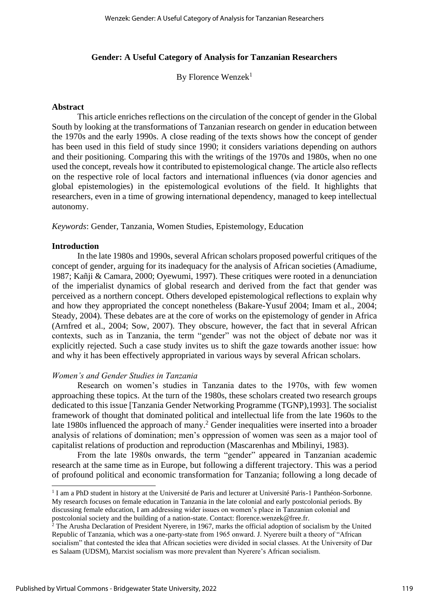## **Gender: A Useful Category of Analysis for Tanzanian Researchers**

By Florence Wenzek<sup>1</sup>

## **Abstract**

This article enriches reflections on the circulation of the concept of gender in the Global South by looking at the transformations of Tanzanian research on gender in education between the 1970s and the early 1990s. A close reading of the texts shows how the concept of gender has been used in this field of study since 1990; it considers variations depending on authors and their positioning. Comparing this with the writings of the 1970s and 1980s, when no one used the concept, reveals how it contributed to epistemological change. The article also reflects on the respective role of local factors and international influences (via donor agencies and global epistemologies) in the epistemological evolutions of the field. It highlights that researchers, even in a time of growing international dependency, managed to keep intellectual autonomy.

*Keywords*: Gender, Tanzania, Women Studies, Epistemology, Education

#### **Introduction**

In the late 1980s and 1990s, several African scholars proposed powerful critiques of the concept of gender, arguing for its inadequacy for the analysis of African societies (Amadiume, 1987; Kañji & Camara, 2000; Oyewumi, 1997). These critiques were rooted in a denunciation of the imperialist dynamics of global research and derived from the fact that gender was perceived as a northern concept. Others developed epistemological reflections to explain why and how they appropriated the concept nonetheless (Bakare-Yusuf 2004; Imam et al., 2004; Steady, 2004). These debates are at the core of works on the epistemology of gender in Africa (Arnfred et al., 2004; Sow, 2007). They obscure, however, the fact that in several African contexts, such as in Tanzania, the term "gender" was not the object of debate nor was it explicitly rejected. Such a case study invites us to shift the gaze towards another issue: how and why it has been effectively appropriated in various ways by several African scholars.

## *Women's and Gender Studies in Tanzania*

Research on women's studies in Tanzania dates to the 1970s, with few women approaching these topics. At the turn of the 1980s, these scholars created two research groups dedicated to this issue [Tanzania Gender Networking Programme (TGNP),1993]. The socialist framework of thought that dominated political and intellectual life from the late 1960s to the late 1980s influenced the approach of many.<sup>2</sup> Gender inequalities were inserted into a broader analysis of relations of domination; men's oppression of women was seen as a major tool of capitalist relations of production and reproduction (Mascarenhas and Mbilinyi, 1983).

From the late 1980s onwards, the term "gender" appeared in Tanzanian academic research at the same time as in Europe, but following a different trajectory. This was a period of profound political and economic transformation for Tanzania; following a long decade of

<sup>&</sup>lt;sup>1</sup> I am a PhD student in history at the Université de Paris and lecturer at Université Paris-1 Panthéon-Sorbonne. My research focuses on female education in Tanzania in the late colonial and early postcolonial periods. By discussing female education, I am addressing wider issues on women's place in Tanzanian colonial and postcolonial society and the building of a nation-state. Contact: florence.wenzek@free.fr.

 $2$  The Arusha Declaration of President Nyerere, in 1967, marks the official adoption of socialism by the United Republic of Tanzania, which was a one-party-state from 1965 onward. J. Nyerere built a theory of "African socialism" that contested the idea that African societies were divided in social classes. At the University of Dar es Salaam (UDSM), Marxist socialism was more prevalent than Nyerere's African socialism.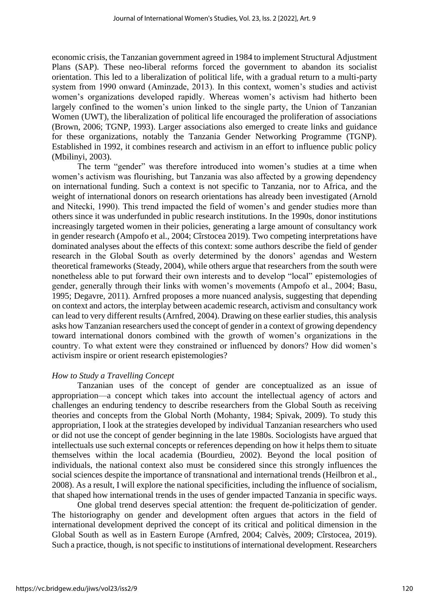economic crisis, the Tanzanian government agreed in 1984 to implement Structural Adjustment Plans (SAP). These neo-liberal reforms forced the government to abandon its socialist orientation. This led to a liberalization of political life, with a gradual return to a multi-party system from 1990 onward (Aminzade, 2013). In this context, women's studies and activist women's organizations developed rapidly. Whereas women's activism had hitherto been largely confined to the women's union linked to the single party, the Union of Tanzanian Women (UWT), the liberalization of political life encouraged the proliferation of associations (Brown, 2006; TGNP, 1993). Larger associations also emerged to create links and guidance for these organizations, notably the Tanzania Gender Networking Programme (TGNP). Established in 1992, it combines research and activism in an effort to influence public policy (Mbilinyi, 2003).

The term "gender" was therefore introduced into women's studies at a time when women's activism was flourishing, but Tanzania was also affected by a growing dependency on international funding. Such a context is not specific to Tanzania, nor to Africa, and the weight of international donors on research orientations has already been investigated (Arnold and Nitecki, 1990). This trend impacted the field of women's and gender studies more than others since it was underfunded in public research institutions. In the 1990s, donor institutions increasingly targeted women in their policies, generating a large amount of consultancy work in gender research (Ampofo et al., 2004; Cîrstocea 2019). Two competing interpretations have dominated analyses about the effects of this context: some authors describe the field of gender research in the Global South as overly determined by the donors' agendas and Western theoretical frameworks (Steady, 2004), while others argue that researchers from the south were nonetheless able to put forward their own interests and to develop "local" epistemologies of gender, generally through their links with women's movements (Ampofo et al., 2004; Basu, 1995; Degavre, 2011). Arnfred proposes a more nuanced analysis, suggesting that depending on context and actors, the interplay between academic research, activism and consultancy work can lead to very different results (Arnfred, 2004). Drawing on these earlier studies, this analysis asks how Tanzanian researchers used the concept of gender in a context of growing dependency toward international donors combined with the growth of women's organizations in the country. To what extent were they constrained or influenced by donors? How did women's activism inspire or orient research epistemologies?

## *How to Study a Travelling Concept*

Tanzanian uses of the concept of gender are conceptualized as an issue of appropriation—a concept which takes into account the intellectual agency of actors and challenges an enduring tendency to describe researchers from the Global South as receiving theories and concepts from the Global North (Mohanty, 1984; Spivak, 2009). To study this appropriation, I look at the strategies developed by individual Tanzanian researchers who used or did not use the concept of gender beginning in the late 1980s. Sociologists have argued that intellectuals use such external concepts or references depending on how it helps them to situate themselves within the local academia (Bourdieu, 2002). Beyond the local position of individuals, the national context also must be considered since this strongly influences the social sciences despite the importance of transnational and international trends (Heilbron et al., 2008). As a result, I will explore the national specificities, including the influence of socialism, that shaped how international trends in the uses of gender impacted Tanzania in specific ways.

One global trend deserves special attention: the frequent de-politicization of gender. The historiography on gender and development often argues that actors in the field of international development deprived the concept of its critical and political dimension in the Global South as well as in Eastern Europe (Arnfred, 2004; Calvès, 2009; Cîrstocea, 2019). Such a practice, though, is not specific to institutions of international development. Researchers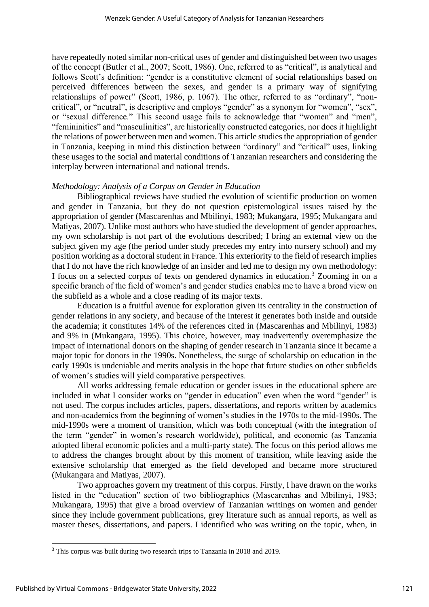have repeatedly noted similar non-critical uses of gender and distinguished between two usages of the concept (Butler et al., 2007; Scott, 1986). One, referred to as "critical", is analytical and follows Scott's definition: "gender is a constitutive element of social relationships based on perceived differences between the sexes, and gender is a primary way of signifying relationships of power" (Scott, 1986, p. 1067). The other, referred to as "ordinary", "noncritical", or "neutral", is descriptive and employs "gender" as a synonym for "women", "sex", or "sexual difference." This second usage fails to acknowledge that "women" and "men", "femininities" and "masculinities", are historically constructed categories, nor does it highlight the relations of power between men and women. This article studies the appropriation of gender in Tanzania, keeping in mind this distinction between "ordinary" and "critical" uses, linking these usages to the social and material conditions of Tanzanian researchers and considering the interplay between international and national trends.

## *Methodology: Analysis of a Corpus on Gender in Education*

Bibliographical reviews have studied the evolution of scientific production on women and gender in Tanzania, but they do not question epistemological issues raised by the appropriation of gender (Mascarenhas and Mbilinyi, 1983; Mukangara, 1995; Mukangara and Matiyas, 2007). Unlike most authors who have studied the development of gender approaches, my own scholarship is not part of the evolutions described; I bring an external view on the subject given my age (the period under study precedes my entry into nursery school) and my position working as a doctoral student in France. This exteriority to the field of research implies that I do not have the rich knowledge of an insider and led me to design my own methodology: I focus on a selected corpus of texts on gendered dynamics in education.<sup>3</sup> Zooming in on a specific branch of the field of women's and gender studies enables me to have a broad view on the subfield as a whole and a close reading of its major texts.

Education is a fruitful avenue for exploration given its centrality in the construction of gender relations in any society, and because of the interest it generates both inside and outside the academia; it constitutes 14% of the references cited in (Mascarenhas and Mbilinyi, 1983) and 9% in (Mukangara, 1995). This choice, however, may inadvertently overemphasize the impact of international donors on the shaping of gender research in Tanzania since it became a major topic for donors in the 1990s. Nonetheless, the surge of scholarship on education in the early 1990s is undeniable and merits analysis in the hope that future studies on other subfields of women's studies will yield comparative perspectives.

All works addressing female education or gender issues in the educational sphere are included in what I consider works on "gender in education" even when the word "gender" is not used. The corpus includes articles, papers, dissertations, and reports written by academics and non-academics from the beginning of women's studies in the 1970s to the mid-1990s. The mid-1990s were a moment of transition, which was both conceptual (with the integration of the term "gender" in women's research worldwide), political, and economic (as Tanzania adopted liberal economic policies and a multi-party state). The focus on this period allows me to address the changes brought about by this moment of transition, while leaving aside the extensive scholarship that emerged as the field developed and became more structured (Mukangara and Matiyas, 2007).

Two approaches govern my treatment of this corpus. Firstly, I have drawn on the works listed in the "education" section of two bibliographies (Mascarenhas and Mbilinyi, 1983; Mukangara, 1995) that give a broad overview of Tanzanian writings on women and gender since they include government publications, grey literature such as annual reports, as well as master theses, dissertations, and papers. I identified who was writing on the topic, when, in

<sup>&</sup>lt;sup>3</sup> This corpus was built during two research trips to Tanzania in 2018 and 2019.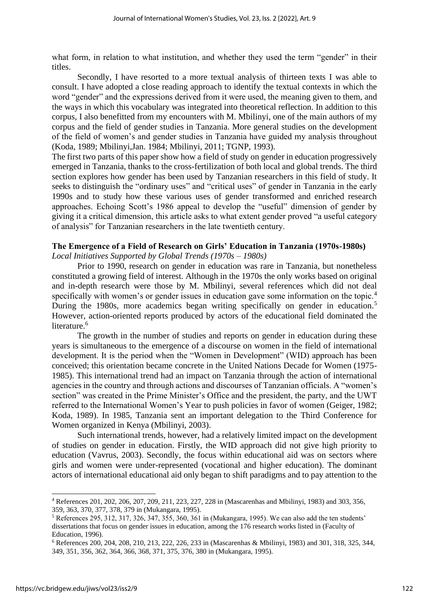what form, in relation to what institution, and whether they used the term "gender" in their titles.

Secondly, I have resorted to a more textual analysis of thirteen texts I was able to consult. I have adopted a close reading approach to identify the textual contexts in which the word "gender" and the expressions derived from it were used, the meaning given to them, and the ways in which this vocabulary was integrated into theoretical reflection. In addition to this corpus, I also benefitted from my encounters with M. Mbilinyi, one of the main authors of my corpus and the field of gender studies in Tanzania. More general studies on the development of the field of women's and gender studies in Tanzania have guided my analysis throughout (Koda, 1989; Mbilinyi,Jan. 1984; Mbilinyi, 2011; TGNP, 1993).

The first two parts of this paper show how a field of study on gender in education progressively emerged in Tanzania, thanks to the cross-fertilization of both local and global trends. The third section explores how gender has been used by Tanzanian researchers in this field of study. It seeks to distinguish the "ordinary uses" and "critical uses" of gender in Tanzania in the early 1990s and to study how these various uses of gender transformed and enriched research approaches. Echoing Scott's 1986 appeal to develop the "useful" dimension of gender by giving it a critical dimension, this article asks to what extent gender proved "a useful category of analysis" for Tanzanian researchers in the late twentieth century.

## **The Emergence of a Field of Research on Girls' Education in Tanzania (1970s-1980s)** *Local Initiatives Supported by Global Trends (1970s – 1980s)*

Prior to 1990, research on gender in education was rare in Tanzania, but nonetheless constituted a growing field of interest. Although in the 1970s the only works based on original

and in-depth research were those by M. Mbilinyi, several references which did not deal specifically with women's or gender issues in education gave some information on the topic.<sup>4</sup> During the 1980s, more academics began writing specifically on gender in education.<sup>5</sup> However, action-oriented reports produced by actors of the educational field dominated the literature.<sup>6</sup>

The growth in the number of studies and reports on gender in education during these years is simultaneous to the emergence of a discourse on women in the field of international development. It is the period when the "Women in Development" (WID) approach has been conceived; this orientation became concrete in the United Nations Decade for Women (1975- 1985). This international trend had an impact on Tanzania through the action of international agencies in the country and through actions and discourses of Tanzanian officials. A "women's section" was created in the Prime Minister's Office and the president, the party, and the UWT referred to the International Women's Year to push policies in favor of women (Geiger, 1982; Koda, 1989). In 1985, Tanzania sent an important delegation to the Third Conference for Women organized in Kenya (Mbilinyi, 2003).

Such international trends, however, had a relatively limited impact on the development of studies on gender in education. Firstly, the WID approach did not give high priority to education (Vavrus, 2003). Secondly, the focus within educational aid was on sectors where girls and women were under-represented (vocational and higher education). The dominant actors of international educational aid only began to shift paradigms and to pay attention to the

<sup>4</sup> References 201, 202, 206, 207, 209, 211, 223, 227, 228 in (Mascarenhas and Mbilinyi, 1983) and 303, 356, 359, 363, 370, 377, 378, 379 in (Mukangara, 1995).

<sup>5</sup> References 295, 312, 317, 326, 347, 355, 360, 361 in (Mukangara, 1995). We can also add the ten students' dissertations that focus on gender issues in education, among the 176 research works listed in (Faculty of Education, 1996).

<sup>6</sup> References 200, 204, 208, 210, 213, 222, 226, 233 in (Mascarenhas & Mbilinyi, 1983) and 301, 318, 325, 344, 349, 351, 356, 362, 364, 366, 368, 371, 375, 376, 380 in (Mukangara, 1995).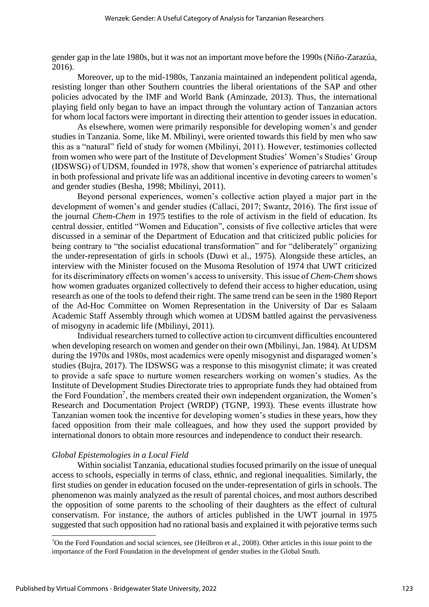gender gap in the late 1980s, but it was not an important move before the 1990s (Niño-Zarazúa, 2016).

Moreover, up to the mid-1980s, Tanzania maintained an independent political agenda, resisting longer than other Southern countries the liberal orientations of the SAP and other policies advocated by the IMF and World Bank (Aminzade, 2013). Thus, the international playing field only began to have an impact through the voluntary action of Tanzanian actors for whom local factors were important in directing their attention to gender issues in education.

As elsewhere, women were primarily responsible for developing women's and gender studies in Tanzania. Some, like M. Mbilinyi, were oriented towards this field by men who saw this as a "natural" field of study for women (Mbilinyi, 2011). However, testimonies collected from women who were part of the Institute of Development Studies' Women's Studies' Group (IDSWSG) of UDSM, founded in 1978, show that women's experience of patriarchal attitudes in both professional and private life was an additional incentive in devoting careers to women's and gender studies (Besha, 1998; Mbilinyi, 2011).

Beyond personal experiences, women's collective action played a major part in the development of women's and gender studies (Callaci, 2017; Swantz, 2016). The first issue of the journal *Chem-Chem* in 1975 testifies to the role of activism in the field of education. Its central dossier, entitled "Women and Education", consists of five collective articles that were discussed in a seminar of the Department of Education and that criticized public policies for being contrary to "the socialist educational transformation" and for "deliberately" organizing the under-representation of girls in schools (Duwi et al., 1975). Alongside these articles, an interview with the Minister focused on the Musoma Resolution of 1974 that UWT criticized for its discriminatory effects on women's access to university. This issue of *Chem-Chem* shows how women graduates organized collectively to defend their access to higher education, using research as one of the tools to defend their right. The same trend can be seen in the 1980 Report of the Ad-Hoc Committee on Women Representation in the University of Dar es Salaam Academic Staff Assembly through which women at UDSM battled against the pervasiveness of misogyny in academic life (Mbilinyi, 2011).

Individual researchers turned to collective action to circumvent difficulties encountered when developing research on women and gender on their own (Mbilinyi, Jan. 1984). At UDSM during the 1970s and 1980s, most academics were openly misogynist and disparaged women's studies (Bujra, 2017). The IDSWSG was a response to this misogynist climate; it was created to provide a safe space to nurture women researchers working on women's studies. As the Institute of Development Studies Directorate tries to appropriate funds they had obtained from the Ford Foundation<sup>7</sup>, the members created their own independent organization, the Women's Research and Documentation Project (WRDP) (TGNP, 1993). These events illustrate how Tanzanian women took the incentive for developing women's studies in these years, how they faced opposition from their male colleagues, and how they used the support provided by international donors to obtain more resources and independence to conduct their research.

## *Global Epistemologies in a Local Field*

Within socialist Tanzania, educational studies focused primarily on the issue of unequal access to schools, especially in terms of class, ethnic, and regional inequalities. Similarly, the first studies on gender in education focused on the under-representation of girls in schools. The phenomenon was mainly analyzed as the result of parental choices, and most authors described the opposition of some parents to the schooling of their daughters as the effect of cultural conservatism. For instance, the authors of articles published in the UWT journal in 1975 suggested that such opposition had no rational basis and explained it with pejorative terms such

<sup>&</sup>lt;sup>7</sup>On the Ford Foundation and social sciences, see (Heilbron et al., 2008). Other articles in this issue point to the importance of the Ford Foundation in the development of gender studies in the Global South.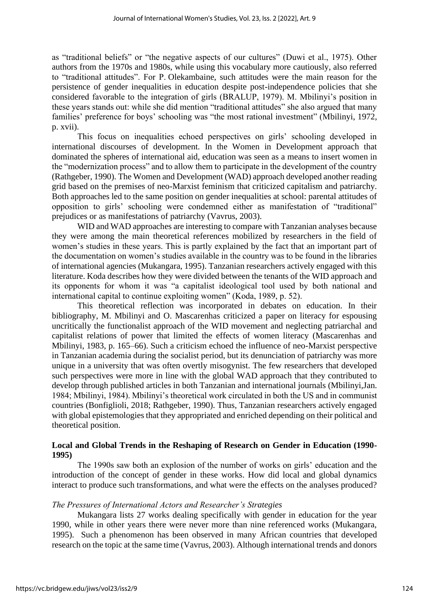as "traditional beliefs" or "the negative aspects of our cultures" (Duwi et al., 1975). Other authors from the 1970s and 1980s, while using this vocabulary more cautiously, also referred to "traditional attitudes". For P. Olekambaine, such attitudes were the main reason for the persistence of gender inequalities in education despite post-independence policies that she considered favorable to the integration of girls (BRALUP, 1979). M. Mbilinyi's position in these years stands out: while she did mention "traditional attitudes" she also argued that many families' preference for boys' schooling was "the most rational investment" (Mbilinyi, 1972, p. xvii).

This focus on inequalities echoed perspectives on girls' schooling developed in international discourses of development. In the Women in Development approach that dominated the spheres of international aid, education was seen as a means to insert women in the "modernization process" and to allow them to participate in the development of the country (Rathgeber, 1990). The Women and Development (WAD) approach developed another reading grid based on the premises of neo-Marxist feminism that criticized capitalism and patriarchy. Both approaches led to the same position on gender inequalities at school: parental attitudes of opposition to girls' schooling were condemned either as manifestation of "traditional" prejudices or as manifestations of patriarchy (Vavrus, 2003).

WID and WAD approaches are interesting to compare with Tanzanian analyses because they were among the main theoretical references mobilized by researchers in the field of women's studies in these years. This is partly explained by the fact that an important part of the documentation on women's studies available in the country was to be found in the libraries of international agencies (Mukangara, 1995). Tanzanian researchers actively engaged with this literature. Koda describes how they were divided between the tenants of the WID approach and its opponents for whom it was "a capitalist ideological tool used by both national and international capital to continue exploiting women" (Koda, 1989, p. 52).

This theoretical reflection was incorporated in debates on education. In their bibliography, M. Mbilinyi and O. Mascarenhas criticized a paper on literacy for espousing uncritically the functionalist approach of the WID movement and neglecting patriarchal and capitalist relations of power that limited the effects of women literacy (Mascarenhas and Mbilinyi, 1983, p. 165–66). Such a criticism echoed the influence of neo-Marxist perspective in Tanzanian academia during the socialist period, but its denunciation of patriarchy was more unique in a university that was often overtly misogynist. The few researchers that developed such perspectives were more in line with the global WAD approach that they contributed to develop through published articles in both Tanzanian and international journals (Mbilinyi,Jan. 1984; Mbilinyi, 1984). Mbilinyi's theoretical work circulated in both the US and in communist countries (Bonfiglioli, 2018; Rathgeber, 1990). Thus, Tanzanian researchers actively engaged with global epistemologies that they appropriated and enriched depending on their political and theoretical position.

## **Local and Global Trends in the Reshaping of Research on Gender in Education (1990- 1995)**

The 1990s saw both an explosion of the number of works on girls' education and the introduction of the concept of gender in these works. How did local and global dynamics interact to produce such transformations, and what were the effects on the analyses produced?

## *The Pressures of International Actors and Researcher's Strategies*

Mukangara lists 27 works dealing specifically with gender in education for the year 1990, while in other years there were never more than nine referenced works (Mukangara, 1995). Such a phenomenon has been observed in many African countries that developed research on the topic at the same time (Vavrus, 2003). Although international trends and donors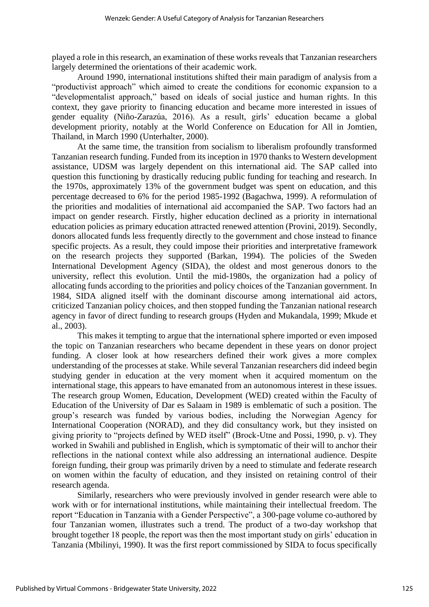played a role in this research, an examination of these works reveals that Tanzanian researchers largely determined the orientations of their academic work.

Around 1990, international institutions shifted their main paradigm of analysis from a "productivist approach" which aimed to create the conditions for economic expansion to a "developmentalist approach," based on ideals of social justice and human rights. In this context, they gave priority to financing education and became more interested in issues of gender equality (Niño-Zarazúa, 2016). As a result, girls' education became a global development priority, notably at the World Conference on Education for All in Jomtien, Thailand, in March 1990 (Unterhalter, 2000).

At the same time, the transition from socialism to liberalism profoundly transformed Tanzanian research funding. Funded from its inception in 1970 thanks to Western development assistance, UDSM was largely dependent on this international aid. The SAP called into question this functioning by drastically reducing public funding for teaching and research. In the 1970s, approximately 13% of the government budget was spent on education, and this percentage decreased to 6% for the period 1985-1992 (Bagachwa, 1999). A reformulation of the priorities and modalities of international aid accompanied the SAP. Two factors had an impact on gender research. Firstly, higher education declined as a priority in international education policies as primary education attracted renewed attention (Provini, 2019). Secondly, donors allocated funds less frequently directly to the government and chose instead to finance specific projects. As a result, they could impose their priorities and interpretative framework on the research projects they supported (Barkan, 1994). The policies of the Sweden International Development Agency (SIDA), the oldest and most generous donors to the university, reflect this evolution. Until the mid-1980s, the organization had a policy of allocating funds according to the priorities and policy choices of the Tanzanian government. In 1984, SIDA aligned itself with the dominant discourse among international aid actors, criticized Tanzanian policy choices, and then stopped funding the Tanzanian national research agency in favor of direct funding to research groups (Hyden and Mukandala, 1999; Mkude et al., 2003).

This makes it tempting to argue that the international sphere imported or even imposed the topic on Tanzanian researchers who became dependent in these years on donor project funding. A closer look at how researchers defined their work gives a more complex understanding of the processes at stake. While several Tanzanian researchers did indeed begin studying gender in education at the very moment when it acquired momentum on the international stage, this appears to have emanated from an autonomous interest in these issues. The research group Women, Education, Development (WED) created within the Faculty of Education of the University of Dar es Salaam in 1989 is emblematic of such a position. The group's research was funded by various bodies, including the Norwegian Agency for International Cooperation (NORAD), and they did consultancy work, but they insisted on giving priority to "projects defined by WED itself" (Brock-Utne and Possi, 1990, p. v). They worked in Swahili and published in English, which is symptomatic of their will to anchor their reflections in the national context while also addressing an international audience. Despite foreign funding, their group was primarily driven by a need to stimulate and federate research on women within the faculty of education, and they insisted on retaining control of their research agenda.

Similarly, researchers who were previously involved in gender research were able to work with or for international institutions, while maintaining their intellectual freedom. The report "Education in Tanzania with a Gender Perspective", a 300-page volume co-authored by four Tanzanian women, illustrates such a trend. The product of a two-day workshop that brought together 18 people, the report was then the most important study on girls' education in Tanzania (Mbilinyi, 1990). It was the first report commissioned by SIDA to focus specifically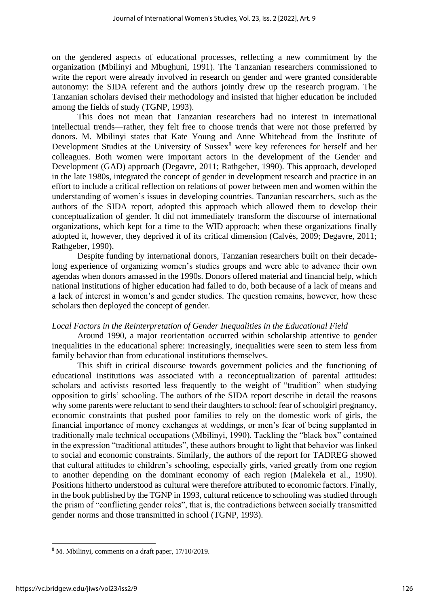on the gendered aspects of educational processes, reflecting a new commitment by the organization (Mbilinyi and Mbughuni, 1991). The Tanzanian researchers commissioned to write the report were already involved in research on gender and were granted considerable autonomy: the SIDA referent and the authors jointly drew up the research program. The Tanzanian scholars devised their methodology and insisted that higher education be included among the fields of study (TGNP, 1993).

This does not mean that Tanzanian researchers had no interest in international intellectual trends—rather, they felt free to choose trends that were not those preferred by donors. M. Mbilinyi states that Kate Young and Anne Whitehead from the Institute of Development Studies at the University of Sussex<sup>8</sup> were key references for herself and her colleagues. Both women were important actors in the development of the Gender and Development (GAD) approach (Degavre, 2011; Rathgeber, 1990). This approach, developed in the late 1980s, integrated the concept of gender in development research and practice in an effort to include a critical reflection on relations of power between men and women within the understanding of women's issues in developing countries. Tanzanian researchers, such as the authors of the SIDA report, adopted this approach which allowed them to develop their conceptualization of gender. It did not immediately transform the discourse of international organizations, which kept for a time to the WID approach; when these organizations finally adopted it, however, they deprived it of its critical dimension (Calvès, 2009; Degavre, 2011; Rathgeber, 1990).

Despite funding by international donors, Tanzanian researchers built on their decadelong experience of organizing women's studies groups and were able to advance their own agendas when donors amassed in the 1990s. Donors offered material and financial help, which national institutions of higher education had failed to do, both because of a lack of means and a lack of interest in women's and gender studies. The question remains, however, how these scholars then deployed the concept of gender.

## *Local Factors in the Reinterpretation of Gender Inequalities in the Educational Field*

Around 1990, a major reorientation occurred within scholarship attentive to gender inequalities in the educational sphere: increasingly, inequalities were seen to stem less from family behavior than from educational institutions themselves.

This shift in critical discourse towards government policies and the functioning of educational institutions was associated with a reconceptualization of parental attitudes: scholars and activists resorted less frequently to the weight of "tradition" when studying opposition to girls' schooling. The authors of the SIDA report describe in detail the reasons why some parents were reluctant to send their daughters to school: fear of schoolgirl pregnancy, economic constraints that pushed poor families to rely on the domestic work of girls, the financial importance of money exchanges at weddings, or men's fear of being supplanted in traditionally male technical occupations (Mbilinyi, 1990). Tackling the "black box" contained in the expression "traditional attitudes", these authors brought to light that behavior was linked to social and economic constraints. Similarly, the authors of the report for TADREG showed that cultural attitudes to children's schooling, especially girls, varied greatly from one region to another depending on the dominant economy of each region (Malekela et al., 1990). Positions hitherto understood as cultural were therefore attributed to economic factors. Finally, in the book published by the TGNP in 1993, cultural reticence to schooling was studied through the prism of "conflicting gender roles", that is, the contradictions between socially transmitted gender norms and those transmitted in school (TGNP, 1993).

<sup>8</sup> M. Mbilinyi, comments on a draft paper, 17/10/2019.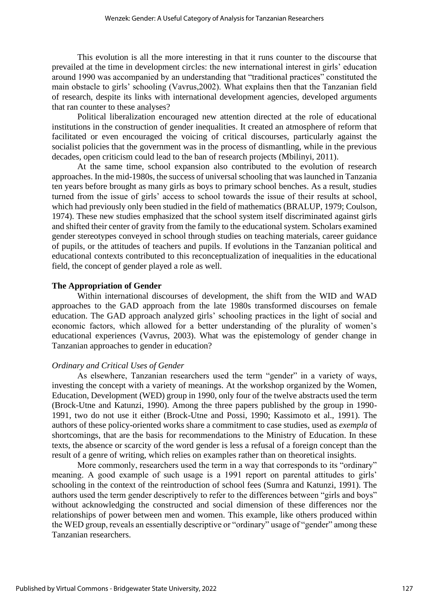This evolution is all the more interesting in that it runs counter to the discourse that prevailed at the time in development circles: the new international interest in girls' education around 1990 was accompanied by an understanding that "traditional practices" constituted the main obstacle to girls' schooling (Vavrus,2002). What explains then that the Tanzanian field of research, despite its links with international development agencies, developed arguments that ran counter to these analyses?

Political liberalization encouraged new attention directed at the role of educational institutions in the construction of gender inequalities. It created an atmosphere of reform that facilitated or even encouraged the voicing of critical discourses, particularly against the socialist policies that the government was in the process of dismantling, while in the previous decades, open criticism could lead to the ban of research projects (Mbilinyi, 2011).

At the same time, school expansion also contributed to the evolution of research approaches. In the mid-1980s, the success of universal schooling that was launched in Tanzania ten years before brought as many girls as boys to primary school benches. As a result, studies turned from the issue of girls' access to school towards the issue of their results at school, which had previously only been studied in the field of mathematics (BRALUP, 1979; Coulson, 1974). These new studies emphasized that the school system itself discriminated against girls and shifted their center of gravity from the family to the educational system. Scholars examined gender stereotypes conveyed in school through studies on teaching materials, career guidance of pupils, or the attitudes of teachers and pupils. If evolutions in the Tanzanian political and educational contexts contributed to this reconceptualization of inequalities in the educational field, the concept of gender played a role as well.

#### **The Appropriation of Gender**

Within international discourses of development, the shift from the WID and WAD approaches to the GAD approach from the late 1980s transformed discourses on female education. The GAD approach analyzed girls' schooling practices in the light of social and economic factors, which allowed for a better understanding of the plurality of women's educational experiences (Vavrus, 2003). What was the epistemology of gender change in Tanzanian approaches to gender in education?

## *Ordinary and Critical Uses of Gender*

As elsewhere, Tanzanian researchers used the term "gender" in a variety of ways, investing the concept with a variety of meanings. At the workshop organized by the Women, Education, Development (WED) group in 1990, only four of the twelve abstracts used the term (Brock-Utne and Katunzi, 1990). Among the three papers published by the group in 1990- 1991, two do not use it either (Brock-Utne and Possi, 1990; Kassimoto et al., 1991). The authors of these policy-oriented works share a commitment to case studies, used as *exempla* of shortcomings, that are the basis for recommendations to the Ministry of Education. In these texts, the absence or scarcity of the word gender is less a refusal of a foreign concept than the result of a genre of writing, which relies on examples rather than on theoretical insights.

More commonly, researchers used the term in a way that corresponds to its "ordinary" meaning. A good example of such usage is a 1991 report on parental attitudes to girls' schooling in the context of the reintroduction of school fees (Sumra and Katunzi, 1991). The authors used the term gender descriptively to refer to the differences between "girls and boys" without acknowledging the constructed and social dimension of these differences nor the relationships of power between men and women. This example, like others produced within the WED group, reveals an essentially descriptive or "ordinary" usage of "gender" among these Tanzanian researchers.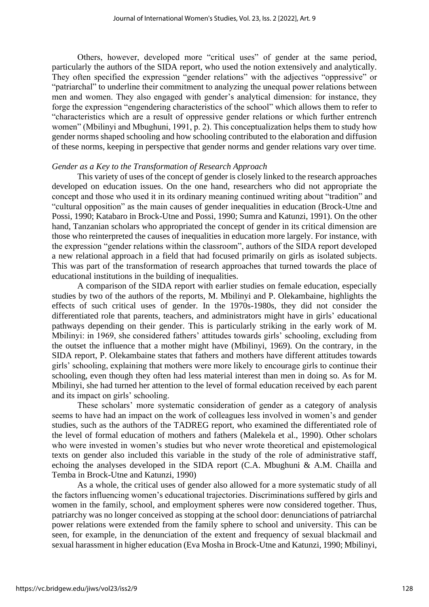Others, however, developed more "critical uses" of gender at the same period, particularly the authors of the SIDA report, who used the notion extensively and analytically. They often specified the expression "gender relations" with the adjectives "oppressive" or "patriarchal" to underline their commitment to analyzing the unequal power relations between men and women. They also engaged with gender's analytical dimension: for instance, they forge the expression "engendering characteristics of the school" which allows them to refer to "characteristics which are a result of oppressive gender relations or which further entrench women" (Mbilinyi and Mbughuni, 1991, p. 2). This conceptualization helps them to study how gender norms shaped schooling and how schooling contributed to the elaboration and diffusion of these norms, keeping in perspective that gender norms and gender relations vary over time.

#### *Gender as a Key to the Transformation of Research Approach*

This variety of uses of the concept of gender is closely linked to the research approaches developed on education issues. On the one hand, researchers who did not appropriate the concept and those who used it in its ordinary meaning continued writing about "tradition" and "cultural opposition" as the main causes of gender inequalities in education (Brock-Utne and Possi, 1990; Katabaro in Brock-Utne and Possi, 1990; Sumra and Katunzi, 1991). On the other hand, Tanzanian scholars who appropriated the concept of gender in its critical dimension are those who reinterpreted the causes of inequalities in education more largely. For instance, with the expression "gender relations within the classroom", authors of the SIDA report developed a new relational approach in a field that had focused primarily on girls as isolated subjects. This was part of the transformation of research approaches that turned towards the place of educational institutions in the building of inequalities.

A comparison of the SIDA report with earlier studies on female education, especially studies by two of the authors of the reports, M. Mbilinyi and P. Olekambaine, highlights the effects of such critical uses of gender. In the 1970s-1980s, they did not consider the differentiated role that parents, teachers, and administrators might have in girls' educational pathways depending on their gender. This is particularly striking in the early work of M. Mbilinyi: in 1969, she considered fathers' attitudes towards girls' schooling, excluding from the outset the influence that a mother might have (Mbilinyi, 1969). On the contrary, in the SIDA report, P. Olekambaine states that fathers and mothers have different attitudes towards girls' schooling, explaining that mothers were more likely to encourage girls to continue their schooling, even though they often had less material interest than men in doing so. As for M. Mbilinyi, she had turned her attention to the level of formal education received by each parent and its impact on girls' schooling.

These scholars' more systematic consideration of gender as a category of analysis seems to have had an impact on the work of colleagues less involved in women's and gender studies, such as the authors of the TADREG report, who examined the differentiated role of the level of formal education of mothers and fathers (Malekela et al., 1990). Other scholars who were invested in women's studies but who never wrote theoretical and epistemological texts on gender also included this variable in the study of the role of administrative staff, echoing the analyses developed in the SIDA report (C.A. Mbughuni & A.M. Chailla and Temba in Brock-Utne and Katunzi, 1990)

As a whole, the critical uses of gender also allowed for a more systematic study of all the factors influencing women's educational trajectories. Discriminations suffered by girls and women in the family, school, and employment spheres were now considered together. Thus, patriarchy was no longer conceived as stopping at the school door: denunciations of patriarchal power relations were extended from the family sphere to school and university. This can be seen, for example, in the denunciation of the extent and frequency of sexual blackmail and sexual harassment in higher education (Eva Mosha in Brock-Utne and Katunzi, 1990; Mbilinyi,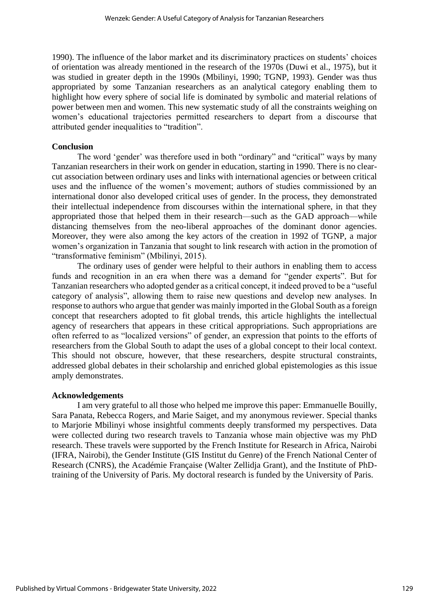1990). The influence of the labor market and its discriminatory practices on students' choices of orientation was already mentioned in the research of the 1970s (Duwi et al., 1975), but it was studied in greater depth in the 1990s (Mbilinyi, 1990; TGNP, 1993). Gender was thus appropriated by some Tanzanian researchers as an analytical category enabling them to highlight how every sphere of social life is dominated by symbolic and material relations of power between men and women. This new systematic study of all the constraints weighing on women's educational trajectories permitted researchers to depart from a discourse that attributed gender inequalities to "tradition".

## **Conclusion**

The word 'gender' was therefore used in both "ordinary" and "critical" ways by many Tanzanian researchers in their work on gender in education, starting in 1990. There is no clearcut association between ordinary uses and links with international agencies or between critical uses and the influence of the women's movement; authors of studies commissioned by an international donor also developed critical uses of gender. In the process, they demonstrated their intellectual independence from discourses within the international sphere, in that they appropriated those that helped them in their research—such as the GAD approach—while distancing themselves from the neo-liberal approaches of the dominant donor agencies. Moreover, they were also among the key actors of the creation in 1992 of TGNP, a major women's organization in Tanzania that sought to link research with action in the promotion of "transformative feminism" (Mbilinyi, 2015).

The ordinary uses of gender were helpful to their authors in enabling them to access funds and recognition in an era when there was a demand for "gender experts". But for Tanzanian researchers who adopted gender as a critical concept, it indeed proved to be a "useful category of analysis", allowing them to raise new questions and develop new analyses. In response to authors who argue that gender was mainly imported in the Global South as a foreign concept that researchers adopted to fit global trends, this article highlights the intellectual agency of researchers that appears in these critical appropriations. Such appropriations are often referred to as "localized versions" of gender, an expression that points to the efforts of researchers from the Global South to adapt the uses of a global concept to their local context. This should not obscure, however, that these researchers, despite structural constraints, addressed global debates in their scholarship and enriched global epistemologies as this issue amply demonstrates.

## **Acknowledgements**

I am very grateful to all those who helped me improve this paper: Emmanuelle Bouilly, Sara Panata, Rebecca Rogers, and Marie Saiget, and my anonymous reviewer. Special thanks to Marjorie Mbilinyi whose insightful comments deeply transformed my perspectives. Data were collected during two research travels to Tanzania whose main objective was my PhD research. These travels were supported by the French Institute for Research in Africa, Nairobi (IFRA, Nairobi), the Gender Institute (GIS Institut du Genre) of the French National Center of Research (CNRS), the Académie Française (Walter Zellidja Grant), and the Institute of PhDtraining of the University of Paris. My doctoral research is funded by the University of Paris.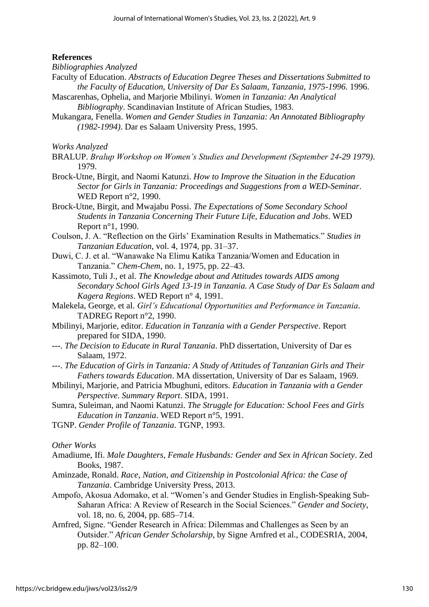## **References**

*Bibliographies Analyzed*

- Faculty of Education. *Abstracts of Education Degree Theses and Dissertations Submitted to the Faculty of Education, University of Dar Es Salaam, Tanzania, 1975-1996*. 1996.
- Mascarenhas, Ophelia, and Marjorie Mbilinyi. *Women in Tanzania: An Analytical Bibliography*. Scandinavian Institute of African Studies, 1983.
- Mukangara, Fenella. *Women and Gender Studies in Tanzania: An Annotated Bibliography (1982-1994)*. Dar es Salaam University Press, 1995.

*Works Analyzed*

- BRALUP. *Bralup Workshop on Women's Studies and Development (September 24-29 1979)*. 1979.
- Brock-Utne, Birgit, and Naomi Katunzi. *How to Improve the Situation in the Education Sector for Girls in Tanzania: Proceedings and Suggestions from a WED-Seminar*. WED Report n°2, 1990.
- Brock-Utne, Birgit, and Mwajabu Possi. *The Expectations of Some Secondary School Students in Tanzania Concerning Their Future Life, Education and Jobs*. WED Report n°1, 1990.
- Coulson, J. A. "Reflection on the Girls' Examination Results in Mathematics." *Studies in Tanzanian Education*, vol. 4, 1974, pp. 31–37.
- Duwi, C. J. et al. "Wanawake Na Elimu Katika Tanzania/Women and Education in Tanzania." *Chem-Chem*, no. 1, 1975, pp. 22–43.
- Kassimoto, Tuli J., et al. *The Knowledge about and Attitudes towards AIDS among Secondary School Girls Aged 13-19 in Tanzania. A Case Study of Dar Es Salaam and Kagera Regions*. WED Report n° 4, 1991.
- Malekela, George, et al. *Girl's Educational Opportunities and Performance in Tanzania*. TADREG Report n°2, 1990.
- Mbilinyi, Marjorie, editor. *Education in Tanzania with a Gender Perspective*. Report prepared for SIDA, 1990.
- ---. *The Decision to Educate in Rural Tanzania*. PhD dissertation, University of Dar es Salaam, 1972.
- ---. *The Education of Girls in Tanzania: A Study of Attitudes of Tanzanian Girls and Their Fathers towards Education*. MA dissertation, University of Dar es Salaam, 1969.
- Mbilinyi, Marjorie, and Patricia Mbughuni, editors. *Education in Tanzania with a Gender Perspective. Summary Report*. SIDA, 1991.
- Sumra, Suleiman, and Naomi Katunzi. *The Struggle for Education: School Fees and Girls Education in Tanzania*. WED Report n°5, 1991.
- TGNP. *Gender Profile of Tanzania*. TGNP, 1993.

*Other Works*

- Amadiume, Ifi. *Male Daughters, Female Husbands: Gender and Sex in African Society*. Zed Books, 1987.
- Aminzade, Ronald. *Race, Nation, and Citizenship in Postcolonial Africa: the Case of Tanzania*. Cambridge University Press, 2013.
- Ampofo, Akosua Adomako, et al. "Women's and Gender Studies in English-Speaking Sub-Saharan Africa: A Review of Research in the Social Sciences." *Gender and Society*, vol. 18, no. 6, 2004, pp. 685–714.
- Arnfred, Signe. "Gender Research in Africa: Dilemmas and Challenges as Seen by an Outsider." *African Gender Scholarship*, by Signe Arnfred et al., CODESRIA, 2004, pp. 82–100.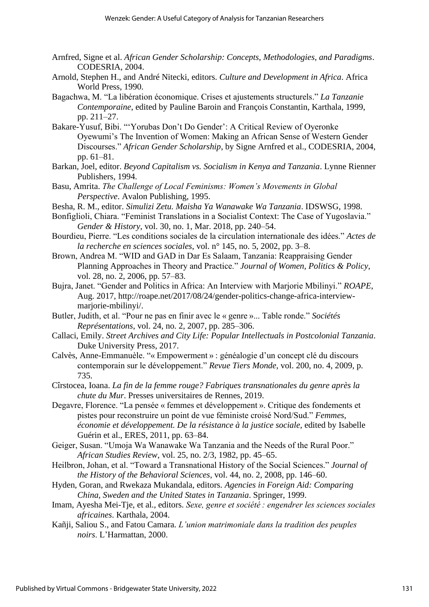- Arnfred, Signe et al. *African Gender Scholarship: Concepts, Methodologies, and Paradigms*. CODESRIA, 2004.
- Arnold, Stephen H., and André Nitecki, editors. *Culture and Development in Africa*. Africa World Press, 1990.
- Bagachwa, M. "La libération économique. Crises et ajustements structurels." *La Tanzanie Contemporaine*, edited by Pauline Baroin and François Constantin, Karthala, 1999, pp. 211–27.
- Bakare-Yusuf, Bibi. "'Yorubas Don't Do Gender': A Critical Review of Oyeronke Oyewumi's The Invention of Women: Making an African Sense of Western Gender Discourses." *African Gender Scholarship*, by Signe Arnfred et al., CODESRIA, 2004, pp. 61–81.
- Barkan, Joel, editor. *Beyond Capitalism vs. Socialism in Kenya and Tanzania*. Lynne Rienner Publishers, 1994.
- Basu, Amrita. *The Challenge of Local Feminisms: Women's Movements in Global Perspective*. Avalon Publishing, 1995.
- Besha, R. M., editor. *Simulizi Zetu. Maisha Ya Wanawake Wa Tanzania*. IDSWSG, 1998.
- Bonfiglioli, Chiara. "Feminist Translations in a Socialist Context: The Case of Yugoslavia." *Gender & History*, vol. 30, no. 1, Mar. 2018, pp. 240–54.
- Bourdieu, Pierre. "Les conditions sociales de la circulation internationale des idées." *Actes de la recherche en sciences sociales*, vol. n° 145, no. 5, 2002, pp. 3–8.
- Brown, Andrea M. "WID and GAD in Dar Es Salaam, Tanzania: Reappraising Gender Planning Approaches in Theory and Practice." *Journal of Women, Politics & Policy*, vol. 28, no. 2, 2006, pp. 57–83.
- Bujra, Janet. "Gender and Politics in Africa: An Interview with Marjorie Mbilinyi." *ROAPE*, Aug. 2017, http://roape.net/2017/08/24/gender-politics-change-africa-interviewmarjorie-mbilinyi/.
- Butler, Judith, et al. "Pour ne pas en finir avec le « genre »... Table ronde." *Sociétés Représentations*, vol. 24, no. 2, 2007, pp. 285–306.
- Callaci, Emily. *Street Archives and City Life: Popular Intellectuals in Postcolonial Tanzania*. Duke University Press, 2017.
- Calvès, Anne-Emmanuèle. "« Empowerment » : généalogie d'un concept clé du discours contemporain sur le développement." *Revue Tiers Monde*, vol. 200, no. 4, 2009, p. 735.
- Cîrstocea, Ioana. *La fin de la femme rouge? Fabriques transnationales du genre après la chute du Mur*. Presses universitaires de Rennes, 2019.
- Degavre, Florence. "La pensée « femmes et développement ». Critique des fondements et pistes pour reconstruire un point de vue féministe croisé Nord/Sud." *Femmes, économie et développement. De la résistance à la justice sociale*, edited by Isabelle Guérin et al., ERES, 2011, pp. 63–84.
- Geiger, Susan. "Umoja Wa Wanawake Wa Tanzania and the Needs of the Rural Poor." *African Studies Review*, vol. 25, no. 2/3, 1982, pp. 45–65.
- Heilbron, Johan, et al. "Toward a Transnational History of the Social Sciences." *Journal of the History of the Behavioral Sciences*, vol. 44, no. 2, 2008, pp. 146–60.
- Hyden, Goran, and Rwekaza Mukandala, editors. *Agencies in Foreign Aid: Comparing China, Sweden and the United States in Tanzania*. Springer, 1999.
- Imam, Ayesha Mei-Tje, et al., editors. *Sexe, genre et société : engendrer les sciences sociales africaines*. Karthala, 2004.
- Kañji, Saliou S., and Fatou Camara. *L'union matrimoniale dans la tradition des peuples noirs*. L'Harmattan, 2000.